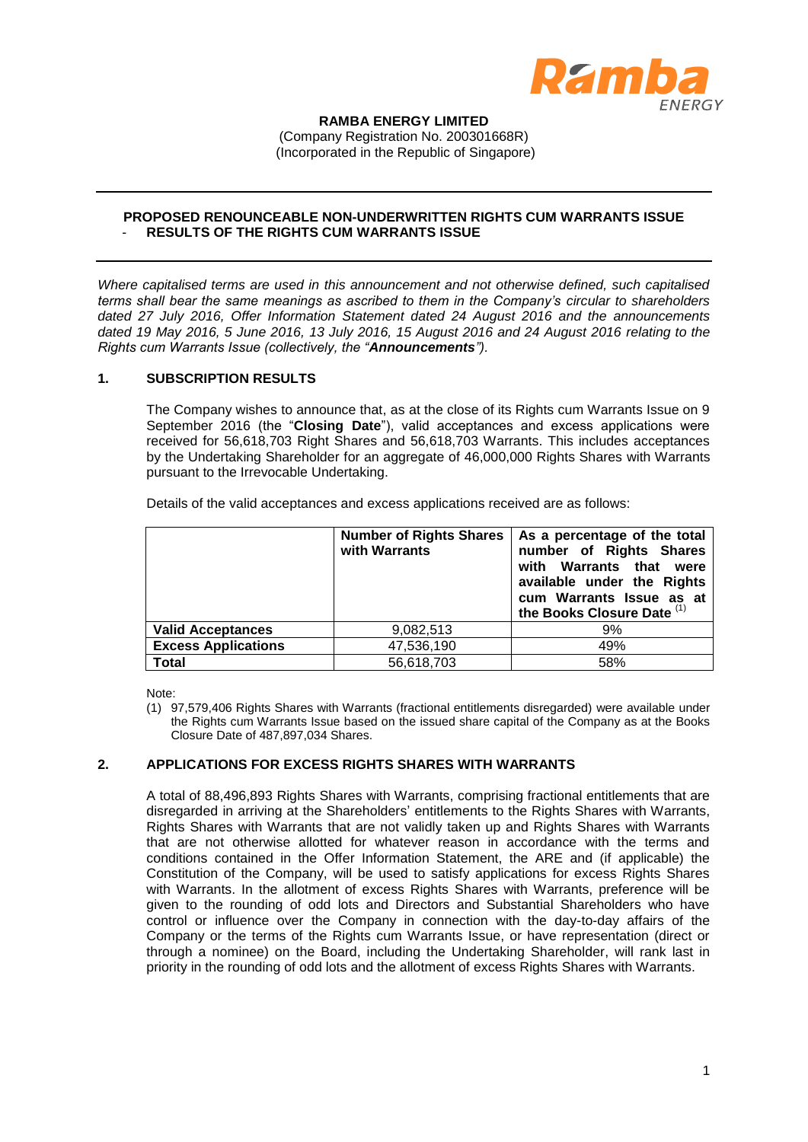

#### **RAMBA ENERGY LIMITED** (Company Registration No. 200301668R) (Incorporated in the Republic of Singapore)

## **PROPOSED RENOUNCEABLE NON-UNDERWRITTEN RIGHTS CUM WARRANTS ISSUE** - **RESULTS OF THE RIGHTS CUM WARRANTS ISSUE**

*Where capitalised terms are used in this announcement and not otherwise defined, such capitalised terms shall bear the same meanings as ascribed to them in the Company's circular to shareholders dated 27 July 2016, Offer Information Statement dated 24 August 2016 and the announcements dated 19 May 2016, 5 June 2016, 13 July 2016, 15 August 2016 and 24 August 2016 relating to the Rights cum Warrants Issue (collectively, the "Announcements").* 

### **1. SUBSCRIPTION RESULTS**

The Company wishes to announce that, as at the close of its Rights cum Warrants Issue on 9 September 2016 (the "**Closing Date**"), valid acceptances and excess applications were received for 56,618,703 Right Shares and 56,618,703 Warrants. This includes acceptances by the Undertaking Shareholder for an aggregate of 46,000,000 Rights Shares with Warrants pursuant to the Irrevocable Undertaking.

Details of the valid acceptances and excess applications received are as follows:

|                            | <b>Number of Rights Shares</b><br>with Warrants | As a percentage of the total<br>number of Rights Shares<br>with Warrants that were<br>available under the Rights<br>cum Warrants Issue as at<br>the Books Closure Date (1) |
|----------------------------|-------------------------------------------------|----------------------------------------------------------------------------------------------------------------------------------------------------------------------------|
| <b>Valid Acceptances</b>   | 9,082,513                                       | 9%                                                                                                                                                                         |
| <b>Excess Applications</b> | 47,536,190                                      | 49%                                                                                                                                                                        |
| <b>Total</b>               | 56,618,703                                      | 58%                                                                                                                                                                        |

Note:

(1) 97,579,406 Rights Shares with Warrants (fractional entitlements disregarded) were available under the Rights cum Warrants Issue based on the issued share capital of the Company as at the Books Closure Date of 487,897,034 Shares.

# **2. APPLICATIONS FOR EXCESS RIGHTS SHARES WITH WARRANTS**

A total of 88,496,893 Rights Shares with Warrants, comprising fractional entitlements that are disregarded in arriving at the Shareholders' entitlements to the Rights Shares with Warrants, Rights Shares with Warrants that are not validly taken up and Rights Shares with Warrants that are not otherwise allotted for whatever reason in accordance with the terms and conditions contained in the Offer Information Statement, the ARE and (if applicable) the Constitution of the Company, will be used to satisfy applications for excess Rights Shares with Warrants. In the allotment of excess Rights Shares with Warrants, preference will be given to the rounding of odd lots and Directors and Substantial Shareholders who have control or influence over the Company in connection with the day-to-day affairs of the Company or the terms of the Rights cum Warrants Issue, or have representation (direct or through a nominee) on the Board, including the Undertaking Shareholder, will rank last in priority in the rounding of odd lots and the allotment of excess Rights Shares with Warrants.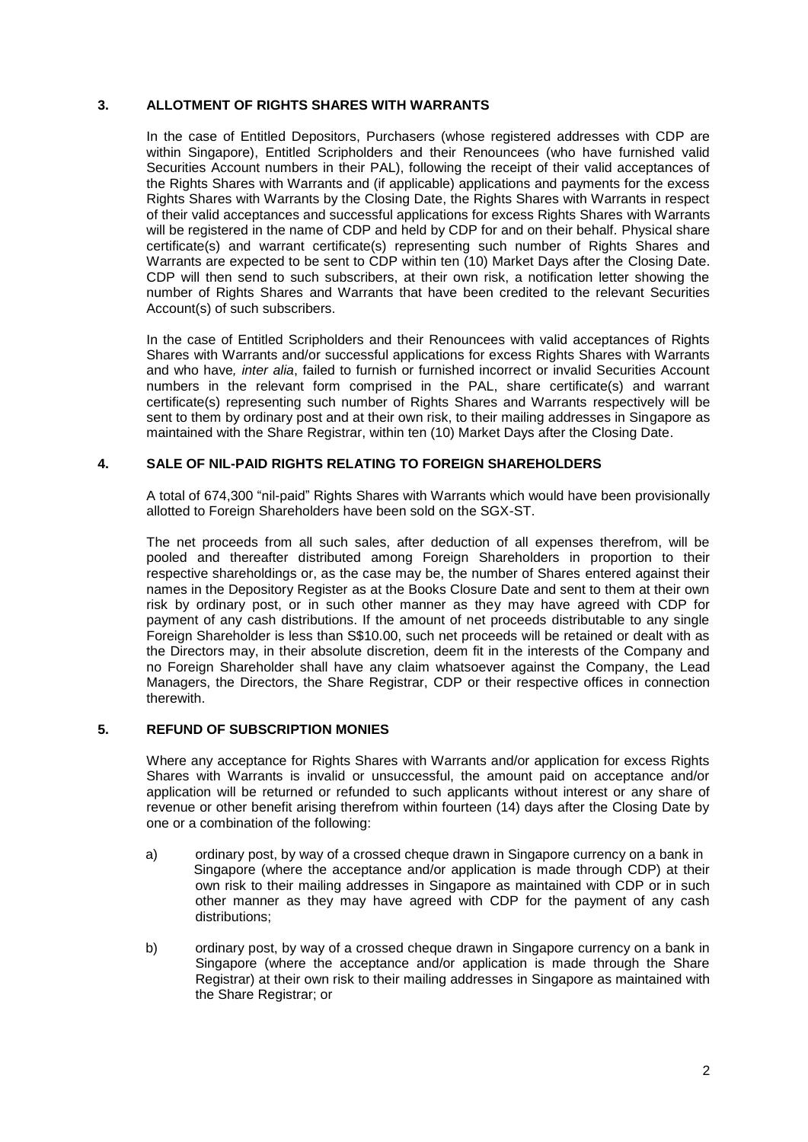# **3. ALLOTMENT OF RIGHTS SHARES WITH WARRANTS**

In the case of Entitled Depositors, Purchasers (whose registered addresses with CDP are within Singapore), Entitled Scripholders and their Renouncees (who have furnished valid Securities Account numbers in their PAL), following the receipt of their valid acceptances of the Rights Shares with Warrants and (if applicable) applications and payments for the excess Rights Shares with Warrants by the Closing Date, the Rights Shares with Warrants in respect of their valid acceptances and successful applications for excess Rights Shares with Warrants will be registered in the name of CDP and held by CDP for and on their behalf. Physical share certificate(s) and warrant certificate(s) representing such number of Rights Shares and Warrants are expected to be sent to CDP within ten (10) Market Days after the Closing Date. CDP will then send to such subscribers, at their own risk, a notification letter showing the number of Rights Shares and Warrants that have been credited to the relevant Securities Account(s) of such subscribers.

In the case of Entitled Scripholders and their Renouncees with valid acceptances of Rights Shares with Warrants and/or successful applications for excess Rights Shares with Warrants and who have*, inter alia*, failed to furnish or furnished incorrect or invalid Securities Account numbers in the relevant form comprised in the PAL, share certificate(s) and warrant certificate(s) representing such number of Rights Shares and Warrants respectively will be sent to them by ordinary post and at their own risk, to their mailing addresses in Singapore as maintained with the Share Registrar, within ten (10) Market Days after the Closing Date.

### **4. SALE OF NIL-PAID RIGHTS RELATING TO FOREIGN SHAREHOLDERS**

A total of 674,300 "nil-paid" Rights Shares with Warrants which would have been provisionally allotted to Foreign Shareholders have been sold on the SGX-ST.

The net proceeds from all such sales, after deduction of all expenses therefrom, will be pooled and thereafter distributed among Foreign Shareholders in proportion to their respective shareholdings or, as the case may be, the number of Shares entered against their names in the Depository Register as at the Books Closure Date and sent to them at their own risk by ordinary post, or in such other manner as they may have agreed with CDP for payment of any cash distributions. If the amount of net proceeds distributable to any single Foreign Shareholder is less than S\$10.00, such net proceeds will be retained or dealt with as the Directors may, in their absolute discretion, deem fit in the interests of the Company and no Foreign Shareholder shall have any claim whatsoever against the Company, the Lead Managers, the Directors, the Share Registrar, CDP or their respective offices in connection therewith.

### **5. REFUND OF SUBSCRIPTION MONIES**

Where any acceptance for Rights Shares with Warrants and/or application for excess Rights Shares with Warrants is invalid or unsuccessful, the amount paid on acceptance and/or application will be returned or refunded to such applicants without interest or any share of revenue or other benefit arising therefrom within fourteen (14) days after the Closing Date by one or a combination of the following:

- a) ordinary post, by way of a crossed cheque drawn in Singapore currency on a bank in Singapore (where the acceptance and/or application is made through CDP) at their own risk to their mailing addresses in Singapore as maintained with CDP or in such other manner as they may have agreed with CDP for the payment of any cash distributions;
- b) ordinary post, by way of a crossed cheque drawn in Singapore currency on a bank in Singapore (where the acceptance and/or application is made through the Share Registrar) at their own risk to their mailing addresses in Singapore as maintained with the Share Registrar; or